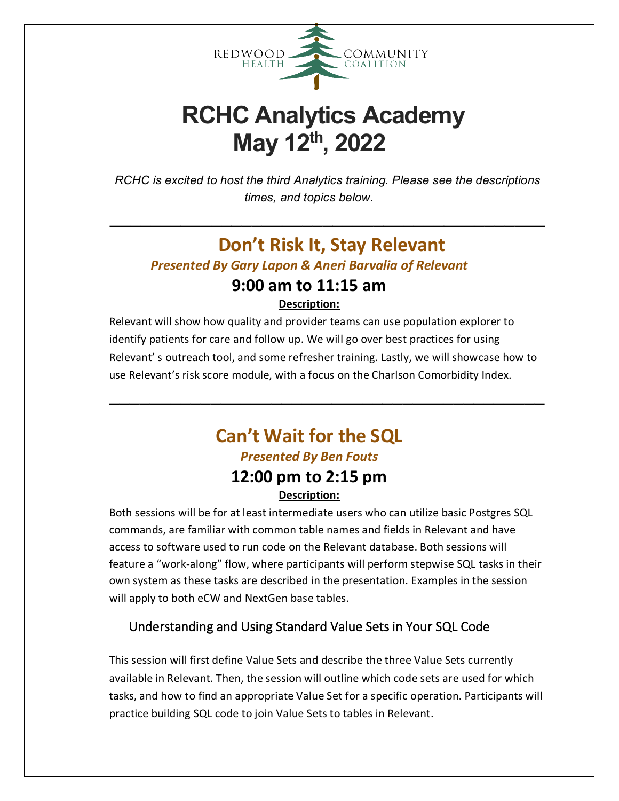

# **RCHC Analytics Academy May 12th, 2022**

*RCHC is excited to host the third Analytics training. Please see the descriptions times, and topics below.*

**\_\_\_\_\_\_\_\_\_\_\_\_\_\_\_\_\_\_\_\_\_\_\_\_\_\_\_\_\_\_\_\_\_\_\_\_\_\_\_\_\_\_\_**

# **Don't Risk It, Stay Relevant**

*Presented By Gary Lapon & Aneri Barvalia of Relevant*

# **9:00 am to 11:15 am**

**Description:**

Relevant will show how quality and provider teams can use population explorer to identify patients for care and follow up. We will go over best practices for using Relevant' s outreach tool, and some refresher training. Lastly, we will showcase how to use Relevant's risk score module, with a focus on the Charlson Comorbidity Index.

**\_\_\_\_\_\_\_\_\_\_\_\_\_\_\_\_\_\_\_\_\_\_\_\_\_\_\_\_\_\_\_\_\_\_\_\_\_\_\_\_\_\_\_**

# **Can't Wait for the SQL** *Presented By Ben Fouts* **12:00 pm to 2:15 pm**

## **Description:**

Both sessions will be for at least intermediate users who can utilize basic Postgres SQL commands, are familiar with common table names and fields in Relevant and have access to software used to run code on the Relevant database. Both sessions will feature a "work-along" flow, where participants will perform stepwise SQL tasks in their own system as these tasks are described in the presentation. Examples in the session will apply to both eCW and NextGen base tables.

## Understanding and Using Standard Value Sets in Your SQL Code

This session will first define Value Sets and describe the three Value Sets currently available in Relevant. Then, the session will outline which code sets are used for which tasks, and how to find an appropriate Value Set for a specific operation. Participants will practice building SQL code to join Value Sets to tables in Relevant.